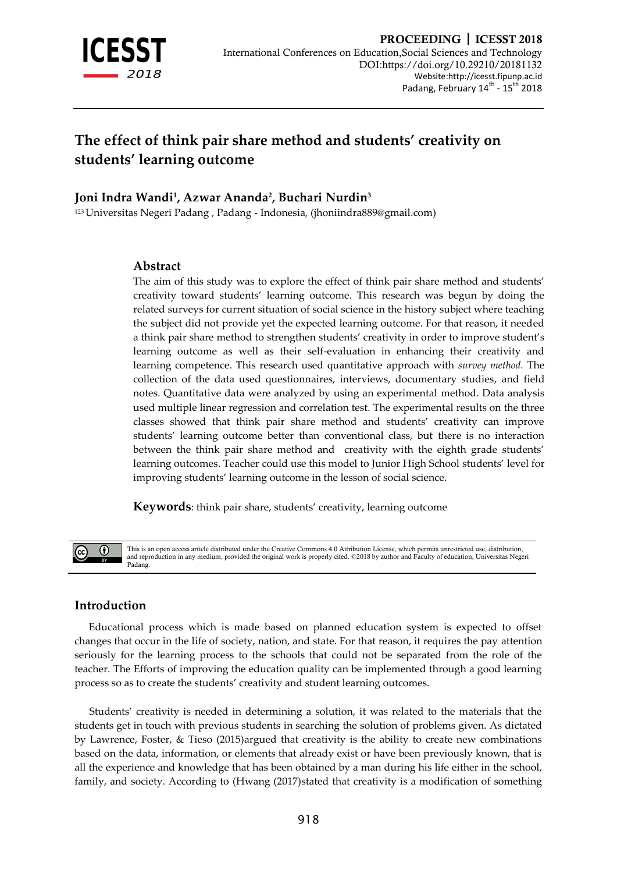

# **The effect of think pair share method and students' creativity on students' learning outcome**

## **Joni Indra Wandi<sup>1</sup> , Azwar Ananda<sup>2</sup> , Buchari Nurdin<sup>3</sup>**

<sup>123</sup> Universitas Negeri Padang , Padang - Indonesia, (jhoniindra889@gmail.com)

#### **Abstract**

The aim of this study was to explore the effect of think pair share method and students' creativity toward students' learning outcome. This research was begun by doing the related surveys for current situation of social science in the history subject where teaching the subject did not provide yet the expected learning outcome. For that reason, it needed a think pair share method to strengthen students' creativity in order to improve student's learning outcome as well as their self-evaluation in enhancing their creativity and learning competence. This research used quantitative approach with *survey method.* The collection of the data used questionnaires, interviews, documentary studies, and field notes. Quantitative data were analyzed by using an experimental method. Data analysis used multiple linear regression and correlation test. The experimental results on the three classes showed that think pair share method and students' creativity can improve students' learning outcome better than conventional class, but there is no interaction between the think pair share method and creativity with the eighth grade students' learning outcomes. Teacher could use this model to Junior High School students' level for improving students' learning outcome in the lesson of social science.

**Keywords**: think pair share, students' creativity, learning outcome

 $\odot$ 

This is an open access article distributed under the Creative Commons 4.0 Attribution License, which permits unrestricted use, distribution and reproduction in any medium, provided the original work is properly cited. ©2018 by author and Faculty of education, Universitas Negeri Padang.

## **Introduction**

Educational process which is made based on planned education system is expected to offset changes that occur in the life of society, nation, and state. For that reason, it requires the pay attention seriously for the learning process to the schools that could not be separated from the role of the teacher. The Efforts of improving the education quality can be implemented through a good learning process so as to create the students' creativity and student learning outcomes.

Students' creativity is needed in determining a solution, it was related to the materials that the students get in touch with previous students in searching the solution of problems given. As dictated by Lawrence, Foster, & Tieso (2015)argued that creativity is the ability to create new combinations based on the data, information, or elements that already exist or have been previously known, that is all the experience and knowledge that has been obtained by a man during his life either in the school, family, and society. According to (Hwang (2017)stated that creativity is a modification of something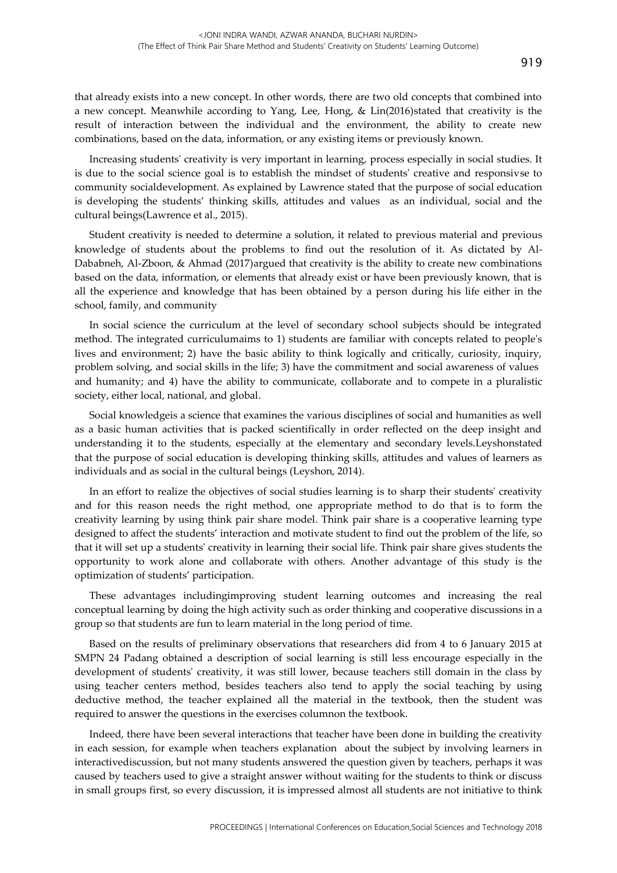that already exists into a new concept. In other words, there are two old concepts that combined into a new concept. Meanwhile according to Yang, Lee, Hong, & Lin(2016)stated that creativity is the result of interaction between the individual and the environment, the ability to create new combinations, based on the data, information, or any existing items or previously known.

Increasing students' creativity is very important in learning, process especially in social studies. It is due to the social science goal is to establish the mindset of students' creative and responsivse to community socialdevelopment. As explained by Lawrence stated that the purpose of social education is developing the students' thinking skills, attitudes and values as an individual, social and the cultural beings(Lawrence et al., 2015).

Student creativity is needed to determine a solution, it related to previous material and previous knowledge of students about the problems to find out the resolution of it. As dictated by Al-Dababneh, Al-Zboon, & Ahmad (2017)argued that creativity is the ability to create new combinations based on the data, information, or elements that already exist or have been previously known, that is all the experience and knowledge that has been obtained by a person during his life either in the school, family, and community

In social science the curriculum at the level of secondary school subjects should be integrated method. The integrated curriculumaims to 1) students are familiar with concepts related to people's lives and environment; 2) have the basic ability to think logically and critically, curiosity, inquiry, problem solving, and social skills in the life; 3) have the commitment and social awareness of values and humanity; and 4) have the ability to communicate, collaborate and to compete in a pluralistic society, either local, national, and global.

Social knowledgeis a science that examines the various disciplines of social and humanities as well as a basic human activities that is packed scientifically in order reflected on the deep insight and understanding it to the students, especially at the elementary and secondary levels.Leyshonstated that the purpose of social education is developing thinking skills, attitudes and values of learners as individuals and as social in the cultural beings (Leyshon, 2014).

In an effort to realize the objectives of social studies learning is to sharp their students' creativity and for this reason needs the right method, one appropriate method to do that is to form the creativity learning by using think pair share model. Think pair share is a cooperative learning type designed to affect the students' interaction and motivate student to find out the problem of the life, so that it will set up a students' creativity in learning their social life. Think pair share gives students the opportunity to work alone and collaborate with others. Another advantage of this study is the optimization of students' participation.

These advantages includingimproving student learning outcomes and increasing the real conceptual learning by doing the high activity such as order thinking and cooperative discussions in a group so that students are fun to learn material in the long period of time.

Based on the results of preliminary observations that researchers did from 4 to 6 January 2015 at SMPN 24 Padang obtained a description of social learning is still less encourage especially in the development of students' creativity, it was still lower, because teachers still domain in the class by using teacher centers method, besides teachers also tend to apply the social teaching by using deductive method, the teacher explained all the material in the textbook, then the student was required to answer the questions in the exercises columnon the textbook.

Indeed, there have been several interactions that teacher have been done in building the creativity in each session, for example when teachers explanation about the subject by involving learners in interactivediscussion, but not many students answered the question given by teachers, perhaps it was caused by teachers used to give a straight answer without waiting for the students to think or discuss in small groups first, so every discussion, it is impressed almost all students are not initiative to think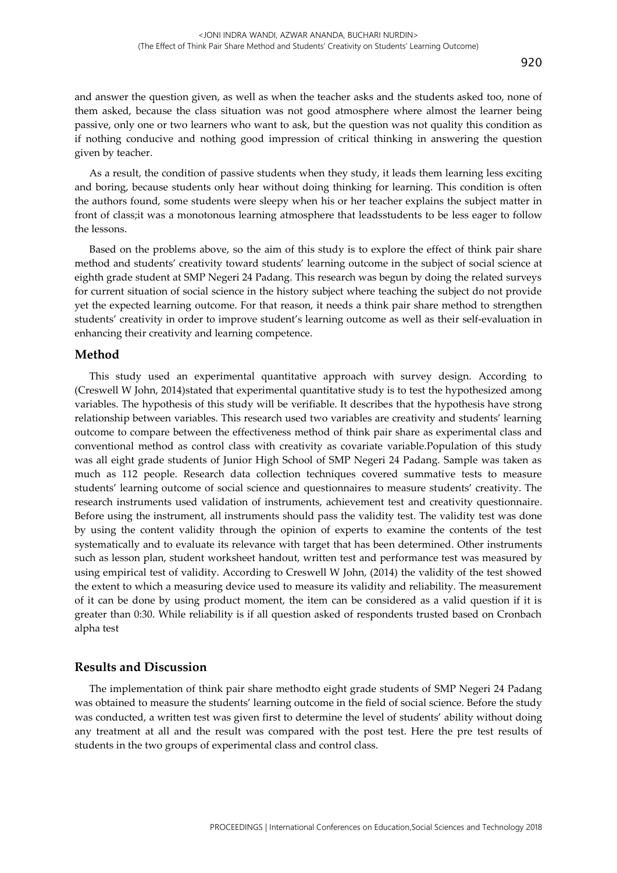and answer the question given, as well as when the teacher asks and the students asked too, none of them asked, because the class situation was not good atmosphere where almost the learner being passive, only one or two learners who want to ask, but the question was not quality this condition as if nothing conducive and nothing good impression of critical thinking in answering the question given by teacher.

As a result, the condition of passive students when they study, it leads them learning less exciting and boring, because students only hear without doing thinking for learning. This condition is often the authors found, some students were sleepy when his or her teacher explains the subject matter in front of class;it was a monotonous learning atmosphere that leadsstudents to be less eager to follow the lessons.

Based on the problems above, so the aim of this study is to explore the effect of think pair share method and students' creativity toward students' learning outcome in the subject of social science at eighth grade student at SMP Negeri 24 Padang. This research was begun by doing the related surveys for current situation of social science in the history subject where teaching the subject do not provide yet the expected learning outcome. For that reason, it needs a think pair share method to strengthen students' creativity in order to improve student's learning outcome as well as their self-evaluation in enhancing their creativity and learning competence.

#### **Method**

This study used an experimental quantitative approach with survey design. According to (Creswell W John, 2014)stated that experimental quantitative study is to test the hypothesized among variables. The hypothesis of this study will be verifiable. It describes that the hypothesis have strong relationship between variables. This research used two variables are creativity and students' learning outcome to compare between the effectiveness method of think pair share as experimental class and conventional method as control class with creativity as covariate variable.Population of this study was all eight grade students of Junior High School of SMP Negeri 24 Padang. Sample was taken as much as 112 people. Research data collection techniques covered summative tests to measure students' learning outcome of social science and questionnaires to measure students' creativity. The research instruments used validation of instruments, achievement test and creativity questionnaire. Before using the instrument, all instruments should pass the validity test. The validity test was done by using the content validity through the opinion of experts to examine the contents of the test systematically and to evaluate its relevance with target that has been determined. Other instruments such as lesson plan, student worksheet handout, written test and performance test was measured by using empirical test of validity. According to Creswell W John, (2014) the validity of the test showed the extent to which a measuring device used to measure its validity and reliability. The measurement of it can be done by using product moment, the item can be considered as a valid question if it is greater than 0:30. While reliability is if all question asked of respondents trusted based on Cronbach alpha test

#### **Results and Discussion**

The implementation of think pair share methodto eight grade students of SMP Negeri 24 Padang was obtained to measure the students' learning outcome in the field of social science. Before the study was conducted, a written test was given first to determine the level of students' ability without doing any treatment at all and the result was compared with the post test. Here the pre test results of students in the two groups of experimental class and control class.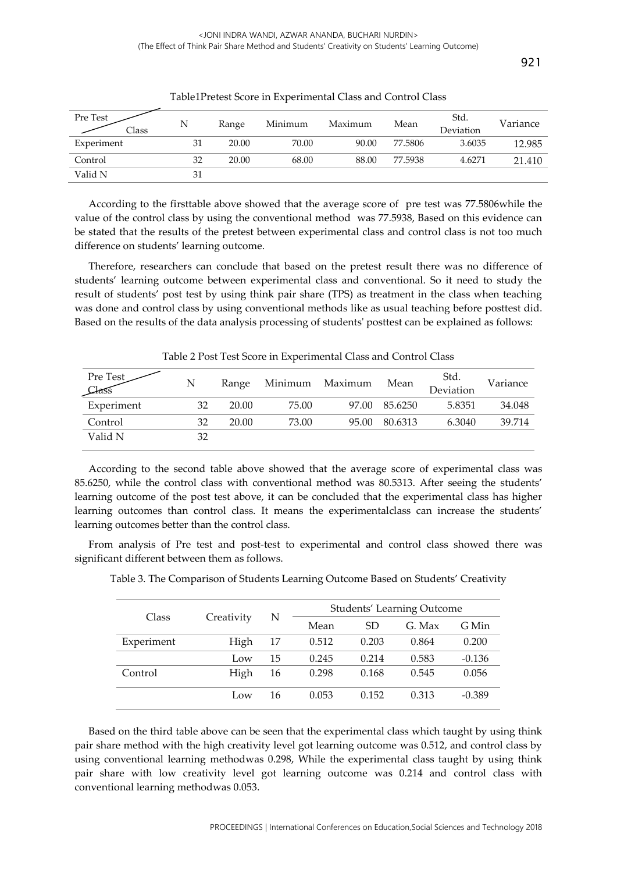| Pre Test<br>Class | N  | Range | Minimum | Maximum | Mean    | Std.<br>Deviation | Variance |
|-------------------|----|-------|---------|---------|---------|-------------------|----------|
| Experiment        | 31 | 20.00 | 70.00   | 90.00   | 77.5806 | 3.6035            | 12.985   |
| Control           | 32 | 20.00 | 68.00   | 88.00   | 77.5938 | 4.6271            | 21.410   |
| Valid N           | 31 |       |         |         |         |                   |          |

Table1Pretest Score in Experimental Class and Control Class

According to the firsttable above showed that the average score of pre test was 77.5806while the value of the control class by using the conventional method was 77.5938, Based on this evidence can be stated that the results of the pretest between experimental class and control class is not too much difference on students' learning outcome.

Therefore, researchers can conclude that based on the pretest result there was no difference of students' learning outcome between experimental class and conventional. So it need to study the result of students' post test by using think pair share (TPS) as treatment in the class when teaching was done and control class by using conventional methods like as usual teaching before posttest did. Based on the results of the data analysis processing of students' posttest can be explained as follows:

| Pre Test<br>Class | N  | Range | Minimum Maximum |       | Mean    | Std.<br>Deviation | Variance |
|-------------------|----|-------|-----------------|-------|---------|-------------------|----------|
| Experiment        | 32 | 20.00 | 75.00           | 97.00 | 85.6250 | 5.8351            | 34.048   |
| Control           | 32 | 20.00 | 73.00           | 95.00 | 80.6313 | 6.3040            | 39.714   |
| Valid N           | 32 |       |                 |       |         |                   |          |

Table 2 Post Test Score in Experimental Class and Control Class

According to the second table above showed that the average score of experimental class was 85.6250, while the control class with conventional method was 80.5313. After seeing the students' learning outcome of the post test above, it can be concluded that the experimental class has higher learning outcomes than control class. It means the experimentalclass can increase the students' learning outcomes better than the control class.

From analysis of Pre test and post-test to experimental and control class showed there was significant different between them as follows.

| Class      |            |    |       | Students' Learning Outcome |        |          |  |  |  |
|------------|------------|----|-------|----------------------------|--------|----------|--|--|--|
|            | Creativity | N  | Mean  | SD                         | G. Max | G Min    |  |  |  |
| Experiment | High       | 17 | 0.512 | 0.203                      | 0.864  | 0.200    |  |  |  |
|            | Low        | 15 | 0.245 | 0.214                      | 0.583  | $-0.136$ |  |  |  |
| Control    | High       | 16 | 0.298 | 0.168                      | 0.545  | 0.056    |  |  |  |
|            | Low        | 16 | 0.053 | 0.152                      | 0.313  | $-0.389$ |  |  |  |

Table 3. The Comparison of Students Learning Outcome Based on Students' Creativity

Based on the third table above can be seen that the experimental class which taught by using think pair share method with the high creativity level got learning outcome was 0.512, and control class by using conventional learning methodwas 0.298, While the experimental class taught by using think pair share with low creativity level got learning outcome was 0.214 and control class with conventional learning methodwas 0.053.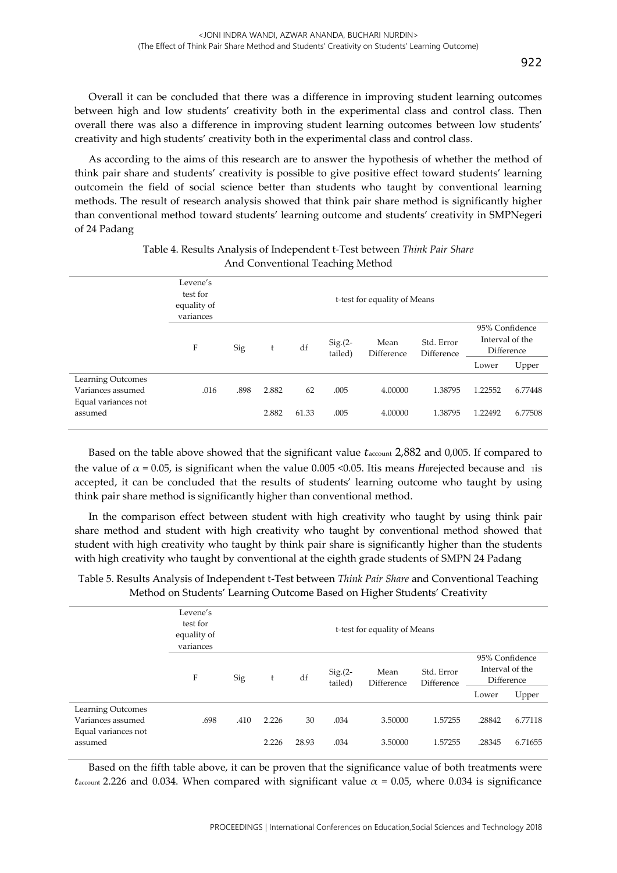Overall it can be concluded that there was a difference in improving student learning outcomes between high and low students' creativity both in the experimental class and control class. Then overall there was also a difference in improving student learning outcomes between low students' creativity and high students' creativity both in the experimental class and control class.

As according to the aims of this research are to answer the hypothesis of whether the method of think pair share and students' creativity is possible to give positive effect toward students' learning outcomein the field of social science better than students who taught by conventional learning methods. The result of research analysis showed that think pair share method is significantly higher than conventional method toward students' learning outcome and students' creativity in SMPNegeri of 24 Padang

|                                                               | Levene's<br>test for<br>equality of<br>variances |      |       |       |                      |                    |                          |                                                 |         |
|---------------------------------------------------------------|--------------------------------------------------|------|-------|-------|----------------------|--------------------|--------------------------|-------------------------------------------------|---------|
|                                                               | F                                                | Sig  | t     | df    | $Sig(2 -$<br>tailed) | Mean<br>Difference | Std. Error<br>Difference | 95% Confidence<br>Interval of the<br>Difference |         |
|                                                               |                                                  |      |       |       |                      |                    |                          | Lower                                           | Upper   |
| Learning Outcomes<br>Variances assumed<br>Equal variances not | .016                                             | .898 | 2.882 | 62    | .005                 | 4.00000            | 1.38795                  | 1.22552                                         | 6.77448 |
| assumed                                                       |                                                  |      | 2.882 | 61.33 | .005                 | 4.00000            | 1.38795                  | 1.22492                                         | 6.77508 |

## Table 4. Results Analysis of Independent t-Test between *Think Pair Share* And Conventional Teaching Method

Based on the table above showed that the significant value  $t_{\text{account}}$  2,882 and 0,005. If compared to the value of  $\alpha$  = 0.05, is significant when the value 0.005 <0.05. Itis means *Horejected because and* is accepted, it can be concluded that the results of students' learning outcome who taught by using think pair share method is significantly higher than conventional method.

In the comparison effect between student with high creativity who taught by using think pair share method and student with high creativity who taught by conventional method showed that student with high creativity who taught by think pair share is significantly higher than the students with high creativity who taught by conventional at the eighth grade students of SMPN 24 Padang

|                                                                          | Levene's<br>test for<br>equality of<br>variances | t-test for equality of Means                                 |                |             |                          |                                                 |                    |                  |                    |  |
|--------------------------------------------------------------------------|--------------------------------------------------|--------------------------------------------------------------|----------------|-------------|--------------------------|-------------------------------------------------|--------------------|------------------|--------------------|--|
|                                                                          | F                                                | Mean<br>$Sig(2 -$<br>df<br>Sig<br>t<br>tailed)<br>Difference |                |             | Std. Error<br>Difference | 95% Confidence<br>Interval of the<br>Difference |                    |                  |                    |  |
|                                                                          |                                                  |                                                              |                |             |                          |                                                 |                    | Lower            | Upper              |  |
| Learning Outcomes<br>Variances assumed<br>Equal variances not<br>assumed | .698                                             | .410                                                         | 2.226<br>2.226 | 30<br>28.93 | .034<br>.034             | 3.50000<br>3.50000                              | 1.57255<br>1.57255 | .28842<br>.28345 | 6.77118<br>6.71655 |  |

Table 5. Results Analysis of Independent t-Test between *Think Pair Share* and Conventional Teaching Method on Students' Learning Outcome Based on Higher Students' Creativity

Based on the fifth table above, it can be proven that the significance value of both treatments were  $t_{\text{account}}$  2.226 and 0.034. When compared with significant value  $\alpha = 0.05$ , where 0.034 is significance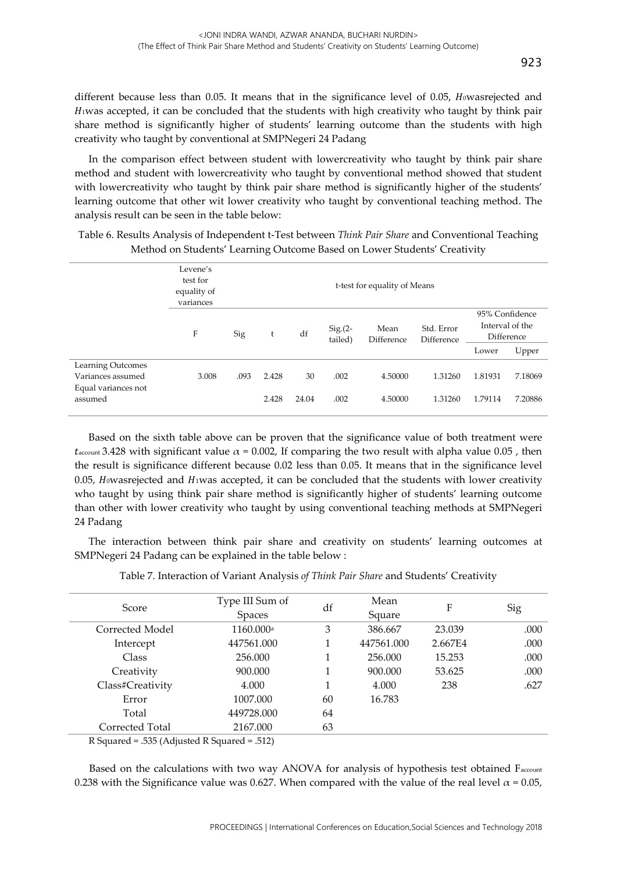different because less than  $0.05$ . It means that in the significance level of  $0.05$ ,  $H_0$ wasrejected and 1was accepted, it can be concluded that the students with high creativity who taught by think pair share method is significantly higher of students' learning outcome than the students with high creativity who taught by conventional at SMPNegeri 24 Padang

In the comparison effect between student with lowercreativity who taught by think pair share method and student with lowercreativity who taught by conventional method showed that student with lowercreativity who taught by think pair share method is significantly higher of the students' learning outcome that other wit lower creativity who taught by conventional teaching method. The analysis result can be seen in the table below:

|                                                                          | Levene's<br>test for<br>equality of<br>variances | t-test for equality of Means |                |             |                      |                    |                          |                                                          |                    |  |
|--------------------------------------------------------------------------|--------------------------------------------------|------------------------------|----------------|-------------|----------------------|--------------------|--------------------------|----------------------------------------------------------|--------------------|--|
|                                                                          | F                                                | Sig                          | t              | df          | $Sig(2 -$<br>tailed) | Mean<br>Difference | Std. Error<br>Difference | 95% Confidence<br>Interval of the<br>Difference<br>Lower | Upper              |  |
|                                                                          |                                                  |                              |                |             |                      |                    |                          |                                                          |                    |  |
| Learning Outcomes<br>Variances assumed<br>Equal variances not<br>assumed | 3.008                                            | .093                         | 2.428<br>2.428 | 30<br>24.04 | .002<br>.002         | 4.50000<br>4.50000 | 1.31260<br>1.31260       | 1.81931<br>1.79114                                       | 7.18069<br>7.20886 |  |
|                                                                          |                                                  |                              |                |             |                      |                    |                          |                                                          |                    |  |

Table 6. Results Analysis of Independent t-Test between *Think Pair Share* and Conventional Teaching Method on Students' Learning Outcome Based on Lower Students' Creativity

Based on the sixth table above can be proven that the significance value of both treatment were  $t_{\text{account}}$  3.428 with significant value  $\alpha$  = 0.002, If comparing the two result with alpha value 0.05, then the result is significance different because 0.02 less than 0.05. It means that in the significance level 0.05, Howasrejected and  $H_1$ was accepted, it can be concluded that the students with lower creativity who taught by using think pair share method is significantly higher of students' learning outcome than other with lower creativity who taught by using conventional teaching methods at SMPNegeri 24 Padang

The interaction between think pair share and creativity on students' learning outcomes at SMPNegeri 24 Padang can be explained in the table below :

| Score            | Type III Sum of       | df | Mean       | F       | Sig  |  |
|------------------|-----------------------|----|------------|---------|------|--|
|                  | <b>Spaces</b>         |    | Square     |         |      |  |
| Corrected Model  | 1160.000 <sup>a</sup> | 3  | 386.667    | 23.039  | .000 |  |
| Intercept        | 447561.000            |    | 447561.000 | 2.667E4 | .000 |  |
| Class            | 256.000               |    | 256.000    | 15.253  | .000 |  |
| Creativity       | 900.000               | 1  | 900.000    | 53.625  | .000 |  |
| Class#Creativity | 4.000                 |    | 4.000      | 238     | .627 |  |
| Error            | 1007.000              | 60 | 16.783     |         |      |  |
| Total            | 449728,000            | 64 |            |         |      |  |
| Corrected Total  | 2167.000              | 63 |            |         |      |  |

R Squared = .535 (Adjusted R Squared = .512)

Based on the calculations with two way ANOVA for analysis of hypothesis test obtained Faccount 0.238 with the Significance value was 0.627. When compared with the value of the real level  $\alpha$  = 0.05,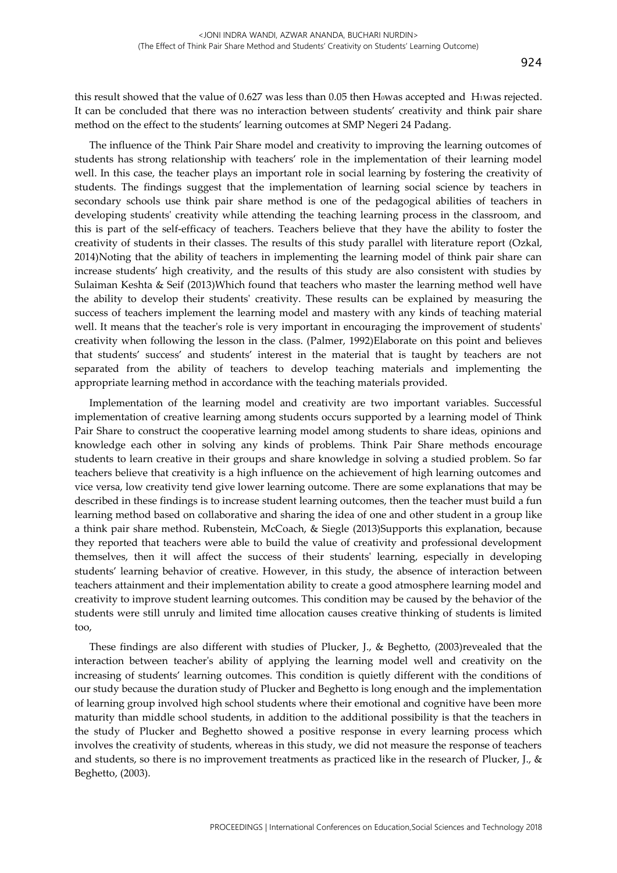this result showed that the value of 0.627 was less than 0.05 then Howas accepted and H1was rejected. It can be concluded that there was no interaction between students' creativity and think pair share method on the effect to the students' learning outcomes at SMP Negeri 24 Padang.

The influence of the Think Pair Share model and creativity to improving the learning outcomes of students has strong relationship with teachers' role in the implementation of their learning model well. In this case, the teacher plays an important role in social learning by fostering the creativity of students. The findings suggest that the implementation of learning social science by teachers in secondary schools use think pair share method is one of the pedagogical abilities of teachers in developing students' creativity while attending the teaching learning process in the classroom, and this is part of the self-efficacy of teachers. Teachers believe that they have the ability to foster the creativity of students in their classes. The results of this study parallel with literature report (Ozkal, 2014)Noting that the ability of teachers in implementing the learning model of think pair share can increase students' high creativity, and the results of this study are also consistent with studies by Sulaiman Keshta & Seif (2013)Which found that teachers who master the learning method well have the ability to develop their students' creativity. These results can be explained by measuring the success of teachers implement the learning model and mastery with any kinds of teaching material well. It means that the teacher's role is very important in encouraging the improvement of students' creativity when following the lesson in the class. (Palmer, 1992)Elaborate on this point and believes that students' success' and students' interest in the material that is taught by teachers are not separated from the ability of teachers to develop teaching materials and implementing the appropriate learning method in accordance with the teaching materials provided.

Implementation of the learning model and creativity are two important variables. Successful implementation of creative learning among students occurs supported by a learning model of Think Pair Share to construct the cooperative learning model among students to share ideas, opinions and knowledge each other in solving any kinds of problems. Think Pair Share methods encourage students to learn creative in their groups and share knowledge in solving a studied problem. So far teachers believe that creativity is a high influence on the achievement of high learning outcomes and vice versa, low creativity tend give lower learning outcome. There are some explanations that may be described in these findings is to increase student learning outcomes, then the teacher must build a fun learning method based on collaborative and sharing the idea of one and other student in a group like a think pair share method. Rubenstein, McCoach, & Siegle (2013)Supports this explanation, because they reported that teachers were able to build the value of creativity and professional development themselves, then it will affect the success of their students' learning, especially in developing students' learning behavior of creative. However, in this study, the absence of interaction between teachers attainment and their implementation ability to create a good atmosphere learning model and creativity to improve student learning outcomes. This condition may be caused by the behavior of the students were still unruly and limited time allocation causes creative thinking of students is limited too,

These findings are also different with studies of Plucker, J., & Beghetto, (2003)revealed that the interaction between teacher's ability of applying the learning model well and creativity on the increasing of students' learning outcomes. This condition is quietly different with the conditions of our study because the duration study of Plucker and Beghetto is long enough and the implementation of learning group involved high school students where their emotional and cognitive have been more maturity than middle school students, in addition to the additional possibility is that the teachers in the study of Plucker and Beghetto showed a positive response in every learning process which involves the creativity of students, whereas in this study, we did not measure the response of teachers and students, so there is no improvement treatments as practiced like in the research of Plucker, J., & Beghetto, (2003).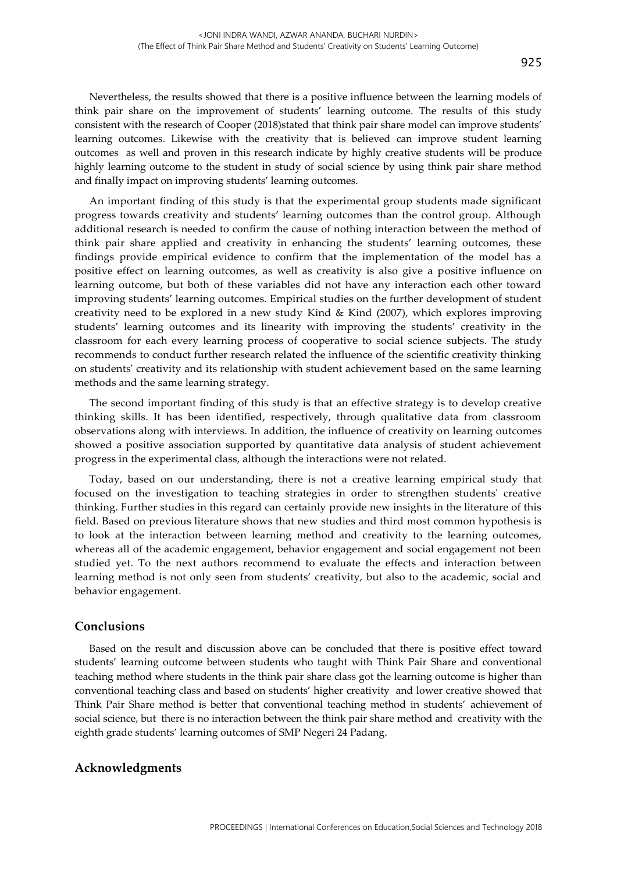Nevertheless, the results showed that there is a positive influence between the learning models of think pair share on the improvement of students' learning outcome. The results of this study consistent with the research of Cooper (2018)stated that think pair share model can improve students' learning outcomes. Likewise with the creativity that is believed can improve student learning outcomes as well and proven in this research indicate by highly creative students will be produce highly learning outcome to the student in study of social science by using think pair share method and finally impact on improving students' learning outcomes.

An important finding of this study is that the experimental group students made significant progress towards creativity and students' learning outcomes than the control group. Although additional research is needed to confirm the cause of nothing interaction between the method of think pair share applied and creativity in enhancing the students' learning outcomes, these findings provide empirical evidence to confirm that the implementation of the model has a positive effect on learning outcomes, as well as creativity is also give a positive influence on learning outcome, but both of these variables did not have any interaction each other toward improving students' learning outcomes. Empirical studies on the further development of student creativity need to be explored in a new study Kind & Kind (2007), which explores improving students' learning outcomes and its linearity with improving the students' creativity in the classroom for each every learning process of cooperative to social science subjects. The study recommends to conduct further research related the influence of the scientific creativity thinking on students' creativity and its relationship with student achievement based on the same learning methods and the same learning strategy.

The second important finding of this study is that an effective strategy is to develop creative thinking skills. It has been identified, respectively, through qualitative data from classroom observations along with interviews. In addition, the influence of creativity on learning outcomes showed a positive association supported by quantitative data analysis of student achievement progress in the experimental class, although the interactions were not related.

Today, based on our understanding, there is not a creative learning empirical study that focused on the investigation to teaching strategies in order to strengthen students' creative thinking. Further studies in this regard can certainly provide new insights in the literature of this field. Based on previous literature shows that new studies and third most common hypothesis is to look at the interaction between learning method and creativity to the learning outcomes, whereas all of the academic engagement, behavior engagement and social engagement not been studied yet. To the next authors recommend to evaluate the effects and interaction between learning method is not only seen from students' creativity, but also to the academic, social and behavior engagement.

## **Conclusions**

Based on the result and discussion above can be concluded that there is positive effect toward students' learning outcome between students who taught with Think Pair Share and conventional teaching method where students in the think pair share class got the learning outcome is higher than conventional teaching class and based on students' higher creativity and lower creative showed that Think Pair Share method is better that conventional teaching method in students' achievement of social science, but there is no interaction between the think pair share method and creativity with the eighth grade students' learning outcomes of SMP Negeri 24 Padang.

#### **Acknowledgments**